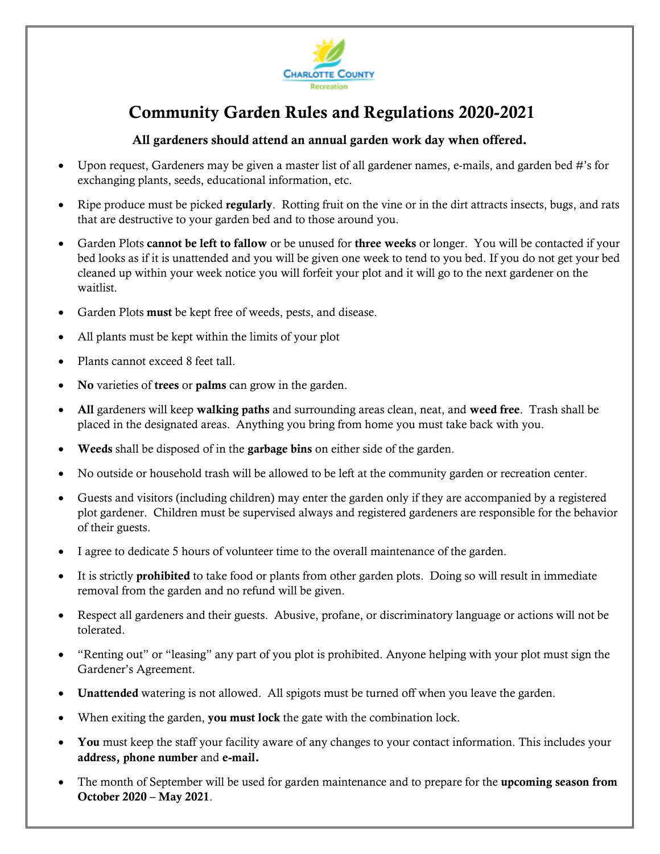

# Community Garden Rules and Regulations 2020-2021

### All gardeners should attend an annual garden work day when offered.

- Upon request, Gardeners may be given a master list of all gardener names, e-mails, and garden bed #'s for exchanging plants, seeds, educational information, etc.
- Ripe produce must be picked regularly. Rotting fruit on the vine or in the dirt attracts insects, bugs, and rats that are destructive to your garden bed and to those around you.
- Garden Plots cannot be left to fallow or be unused for three weeks or longer. You will be contacted if your bed looks as if it is unattended and you will be given one week to tend to you bed. If you do not get your bed cleaned up within your week notice you will forfeit your plot and it will go to the next gardener on the waitlist.
- Garden Plots must be kept free of weeds, pests, and disease.
- All plants must be kept within the limits of your plot
- Plants cannot exceed 8 feet tall.
- No varieties of trees or palms can grow in the garden.
- All gardeners will keep walking paths and surrounding areas clean, neat, and weed free. Trash shall be placed in the designated areas. Anything you bring from home you must take back with you.
- Weeds shall be disposed of in the garbage bins on either side of the garden.
- No outside or household trash will be allowed to be left at the community garden or recreation center.
- Guests and visitors (including children) may enter the garden only if they are accompanied by a registered plot gardener. Children must be supervised always and registered gardeners are responsible for the behavior of their guests.
- I agree to dedicate 5 hours of volunteer time to the overall maintenance of the garden.
- It is strictly **prohibited** to take food or plants from other garden plots. Doing so will result in immediate removal from the garden and no refund will be given.
- Respect all gardeners and their guests. Abusive, profane, or discriminatory language or actions will not be tolerated.
- "Renting out" or "leasing" any part of you plot is prohibited. Anyone helping with your plot must sign the Gardener's Agreement.
- Unattended watering is not allowed. All spigots must be turned off when you leave the garden.
- When exiting the garden, you must lock the gate with the combination lock.
- You must keep the staff your facility aware of any changes to your contact information. This includes your address, phone number and e-mail.
- The month of September will be used for garden maintenance and to prepare for the upcoming season from October 2020 – May 2021.